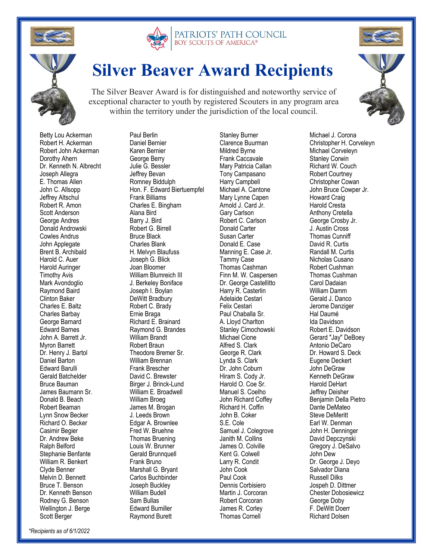





## **Silver Beaver Award Recipients**

The Silver Beaver Award is for distinguished and noteworthy service of exceptional character to youth by registered Scouters in any program area within the territory under the jurisdiction of the local council.

 Betty Lou Ackerman Robert H. Ackerman Robert John Ackerman Dorothy Ahern Dr. Kenneth N. Albrecht Joseph Allegra E. Thomas Allen John C. Allsopp Jeffrey Altschul Robert R. Amon Scott Anderson George Andres Donald Androwski Cowles Andrus John Applegate Brent B. Archibald Harold C. Auer Harold Auringer Timothy Avis Mark Avondoglio Raymond Baird Clinton Baker Charles E. Baltz Charles Barbay George Barnard Edward Barnes John A. Barrett Jr. Myron Barrett Dr. Henry J. Bartol Daniel Barton Edward Barulli Gerald Batchelder Bruce Bauman James Baumann Sr. Donald B. Beach Robert Beaman Lynn Snow Becker Richard O. Becker Casimir Begier Dr. Andrew Beke Ralph Belford Stephanie Benfante William R. Benkert Clyde Benner Melvin D. Bennett Bruce T. Benson Dr. Kenneth Benson Rodney G. Benson Wellington J. Berge Scott Berger

 Paul Berlin Daniel Bernier Karen Bernier George Berry Julie G. Bessler Jeffrey Bevan Romney Biddulph Hon. F. Edward Biertuempfel Frank Billiams Charles E. Bingham Alana Bird Barry J. Bird Robert G. Birrell Bruce Black Charles Blank H. Melvyn Blaufuss Joseph G. Blick Joan Bloomer William Blumreich III J. Berkeley Boniface Joseph I. Boylan DeWitt Bradbury Robert C. Brady Ernie Braga Richard E. Brainard Raymond G. Brandes William Brandt Robert Braun Theodore Bremer Sr. William Brennan Frank Brescher David C. Brewster Birger J. Brinck-Lund William E. Broadwell William Broeg James M. Brogan J. Leeds Brown Edgar A. Brownlee Fred W. Bruehne Thomas Bruening Louis W. Brunner Gerald Brunnquell Frank Bruno Marshall G. Bryant Carlos Buchbinder Joseph Buckley William Budell Sam Bullas Edward Bumiller

Raymond Burett

 Stanley Burner Clarence Buurman Mildred Byrne Frank Caccavale Mary Patricia Callan Tony Campasano Harry Campbell Michael A. Cantone Mary Lynne Capen Arnold J. Card Jr. Gary Carlson Robert C. Carlson Donald Carter Susan Carter Donald E. Case Manning E. Case Jr. Tammy Case Thomas Cashman Finn M. W. Caspersen Dr. George Castellitto Harry R. Casterlin Adelaide Cestari Felix Cestari Paul Chaballa Sr. A. Lloyd Charlton Stanley Cimochowski Michael Cione Alfred S. Clark George R. Clark Lynda S. Clark Dr. John Coburn Hiram S. Cody Jr. Harold O. Coe Sr. Manuel S. Coelho John Richard Coffey Richard H. Coffin John B. Coker S.E. Cole Samuel J. Colegrove Janith M. Collins James O. Colville Kent G. Colwell Larry R. Condit John Cook Paul Cook Dennis Corbisiero Martin J. Corcoran Robert Corcoran James R. Corley Thomas Cornell



 Michael J. Corona Christopher H. Corveleyn Michael Corveleyn Stanley Corwin Richard W. Couch Robert Courtney Christopher Cowan John Bruce Cowper Jr. Howard Craig Harold Cresta Anthony Cretella George Crosby Jr. J. Austin Cross Thomas Cunniff David R. Curtis Randall M. Curtis Nicholas Cusano Robert Cushman Thomas Cushman Carol Dadaian William Damm Gerald J. Danco Jerome Danziger Hal Daumé Ida Davidson Robert E. Davidson Gerard "Jay" DeBoey Antonio DeCaro Dr. Howard S. Deck Eugene Deckert John DeGraw Kenneth DeGraw Harold DeHart Jeffrey Deisher Benjamin Della Pietro Dante DeMateo Steve DeMeritt Earl W. Denman John H. Denninger David Depczynski Gregory J. DeSalvo John Dew Dr. George J. Deyo Salvador Diana Russell Dilks Jospeh D. Dittmer Chester Dobosiewicz George Doby F. DeWitt Doerr Richard Dolsen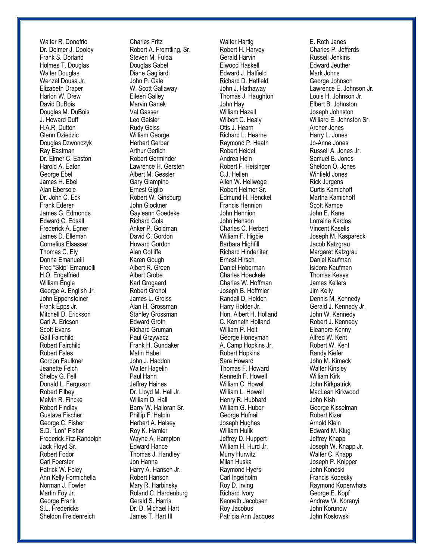Walter R. Donofrio Dr. Delmer J. Dooley Frank S. Dorland Holmes T. Douglas Walter Douglas Wenzel Dousa Jr. Elizabeth Draper Harlon W. Drew David DuBois Douglas M. DuBois J. Howard Duff H.A.R. Dutton Glenn Dziedzic Douglas Dzwonczyk Ray Eastman Dr. Elmer C. Easton Harold A. Eaton George Ebel James H. Ebel Alan Ebersole Dr. John C. Eck Frank Ederer James G. Edmonds Edward C. Edsall Frederick A. Egner James D. Elleman Cornelius Elsasser Thomas C. Ely Donna Emanuelli Fred "Skip" Emanuelli H.O. Engelfried William Engle George A. English Jr. John Eppensteiner Frank Epps Jr. Mitchell D. Erickson Carl A. Ericson Scott Evans Gail Fairchild Robert Fairchild Robert Fales Gordon Faulkner Jeanette Felch Shelby G. Fell Donald L. Ferguson Robert Filbey Melvin R. Fincke Robert Findlay Gustave Fischer George C. Fisher S.D. "Lon" Fisher Frederick Fitz-Randolph Jack Floyd Sr. Robert Fodor Carl Foerster Patrick W. Foley Ann Kelly Formichella Norman J. Fowler Martin Foy Jr. George Frank S.L. Fredericks Sheldon Freidenreich

 Charles Fritz Robert A. Fromtling, Sr. Steven M. Fulda Douglas Gabel Diane Gagliardi John P. Gale W. Scott Gallaway Eileen Galley Marvin Ganek Val Gasser Leo Geisler Rudy Geiss William George Herbert Gerber Arthur Gerlich Robert Germinder Lawrence H. Gersten Albert M. Gessler Gary Giampino Ernest Giglio Robert W. Ginsburg John Glockner Gayleann Goedeke Richard Gola Anker P. Goldman David C. Gordon Howard Gordon Alan Gotliffe Karen Gough Albert R. Green Albert Grobe Karl Grogaard Robert Grohol James L. Groiss Alan H. Grossman Stanley Grossman Edward Groth Richard Gruman Paul Grzywacz Frank H. Gundaker Matin Habel John J. Haddon Walter Hagelin Paul Hahn Jeffrey Haines Dr. Lloyd M. Hall Jr. William D. Hall Barry W. Halloran Sr. Phillip F. Halpin Herbert A. Halsey Roy K. Hamler Wayne A. Hampton Edward Hance Thomas J. Handley Jon Hanna Harry A. Hansen Jr. Robert Hanson Mary R. Harbinsky Roland C. Hardenburg Gerald S. Harris Dr. D. Michael Hart James T. Hart III

 Walter Hartig Robert H. Harvey Gerald Harvin Elwood Haskell Edward J. Hatfield Richard D. Hatfield John J. Hathaway Thomas J. Haughton John Hay William Hazell Wilbert C. Healy Otis J. Hearn Richard L. Hearne Raymond P. Heath Robert Heidel Andrea Hein Robert F. Heisinger C.J. Hellen Allen W. Hellwege Robert Helmer Sr. Edmund H. Henckel Francis Hennion John Hennion John Henson Charles C. Herbert William F. Higbie Barbara Highfill Richard Hinderliter Ernest Hirsch Daniel Hoberman Charles Hoeckele Charles W. Hoffman Joseph B. Hoffmier Randall D. Holden Harry Holder Jr. Hon. Albert H. Holland C. Kenneth Holland William P. Holt George Honeyman A. Camp Hopkins Jr. Robert Hopkins Sara Howard Thomas F. Howard Kenneth F. Howell William C. Howell William L. Howell Henry R. Hubbard William G. Huber George Hufnail Joseph Hughes William Hulik Jeffrey D. Huppert William H. Hurd Jr. Murry Hurwitz Milan Huska Raymond Hyers Carl Ingelholm Roy D. Irving Richard Ivory Kenneth Jacobsen Roy Jacobus Patricia Ann Jacques

 E. Roth Janes Charles P. Jefferds Russell Jenkins Edward Jeuther Mark Johns George Johnson Lawrence E. Johnson Jr. Louis H. Johnson Jr. Elbert B. Johnston Joseph Johnston Williard E. Johnston Sr. Archer Jones Harry L. Jones Jo-Anne Jones Russell A. Jones Jr. Samuel B. Jones Sheldon O. Jones Winfield Jones Rick Jurgens Curtis Kamichoff Martha Kamichoff Scott Kampe John E. Kane Lorraine Kardos Vincent Kaselis Joseph M. Kaspareck Jacob Katzgrau Margaret Katzgrau Daniel Kaufman Isidore Kaufman Thomas Keays James Kellers Jim Kelly Dennis M. Kennedy Gerald J. Kennedy Jr. John W. Kennedy Robert J. Kennedy Eleanore Kenny Alfred W. Kent Robert W. Kent Randy Kiefer John M. Kimack Walter Kinsley William Kirk John Kirkpatrick MacLean Kirkwood John Kish George Kisselman Robert Kizer Arnold Klein Edward M. Klug Jeffrey Knapp Joseph W. Knapp Jr. Walter C. Knapp Joseph P. Knipper John Koneski Francis Kopecky Raymond Koperwhats George E. Kopf Andrew W. Korenyi John Korunow John Koslowski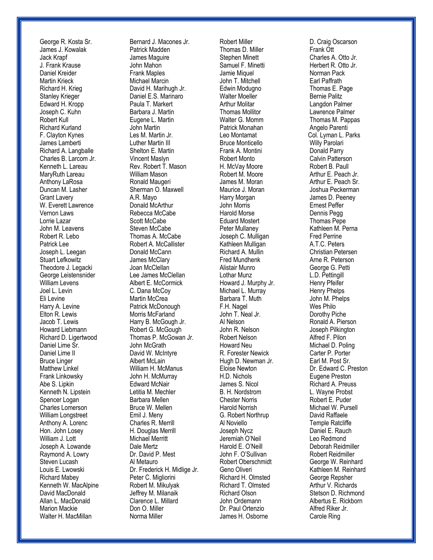George R. Kosta Sr. James J. Kowalak Jack Krapf J. Frank Krause Daniel Kreider Martin Krieck Richard H. Krieg Stanley Krieger Edward H. Kropp Joseph C. Kuhn Robert Kull Richard Kurland F. Clayton Kynes James Lamberti Richard A. Langballe Charles B. Larcom Jr. Kenneth L. Lareau MaryRuth Lareau Anthony LaRosa Duncan M. Lasher Grant Lavery W. Everett Lawrence Vernon Laws Lorrie Lazar John M. Leavens Robert R. Lebo Patrick Lee Joseph L. Leegan Stuart Lefkowitz Theodore J. Legacki George Leistensnider William Levens Joel L. Levin Eli Levine Harry A. Levine Elton R. Lewis Jacob T. Lewis Howard Liebmann Richard D. Ligertwood Daniel Lime Sr. Daniel Lime II Bruce Linger Matthew Linkel Frank Linkowsky Abe S. Lipkin Kenneth N. Lipstein Spencer Logan Charles Lomerson William Longstreet Anthony A. Lorenc Hon. John Losey William J. Lott Joseph A. Lowande Raymond A. Lowry Steven Lucash Louis E. Lwowski Richard Mabey Kenneth W. MacAlpine David MacDonald Allan L. MacDonald Marion Mackie Walter H. MacMillan

 Bernard J. Macones Jr. Patrick Madden James Maguire John Mahon Frank Maples Michael Marcin David H. Marihugh Jr. Daniel E.S. Marinaro Paula T. Markert Barbara J. Martin Eugene L. Martin John Martin Les M. Martin Jr. Luther Martin III Shelton E. Martin Vincent Maslyn Rev. Robert T. Mason William Mason Ronald Maugeri Sherman O. Maxwell A.R. Mayo Donald McArthur Rebecca McCabe Scott McCabe Steven McCabe Thomas A. McCabe Robert A. McCallister Donald McCann James McClary Joan McClellan Lee James McClellan Albert E. McCormick C. Dana McCoy Martin McCrea Patrick McDonough Morris McFarland Harry B. McGough Jr. Robert G. McGough Thomas P. McGowan Jr. John McGrath David W. McIntyre Albert McLain William H. McManus John H. McMurray Edward McNair Letitia M. Mechler Barbara Mellen Bruce W. Mellen Emil J. Meny Charles R. Merrill H. Douglas Merrill Michael Merritt Dale Mertz Dr. David P. Mest Al Metauro Dr. Frederick H. Midlige Jr. Peter C. Migliorini Robert M. Mikulyak Jeffrey M. Milanaik Clarence L. Millard Don O. Miller Norma Miller

 Robert Miller Thomas D. Miller Stephen Minett Samuel F. Minetti Jamie Miquel John T. Mitchell Edwin Modugno Walter Moeller Arthur Molitar Thomas Mollitor Walter G. Momm Patrick Monahan Leo Montamat Bruce Monticello Frank A. Montini Robert Monto H. McVay Moore Robert M. Moore James M. Moran Maurice J. Moran Harry Morgan John Morris Harold Morse Eduard Mostert Peter Mullaney Joseph C. Mulligan Kathleen Mulligan Richard A. Mullin Fred Mundhenk Alistair Munro Lothar Munz Howard J. Murphy Jr. Michael L. Murray Barbara T. Muth F.H. Nagel John T. Neal Jr. Al Nelson John R. Nelson Robert Nelson Howard Neu R. Forester Newick Hugh D. Newman Jr. Eloise Newton H.D. Nichols James S. Nicol B. H. Nordstrom Chester Norris Harold Norrish G. Robert Northrup Al Noviello Joseph Nycz Jeremiah O'Neil Harold E. O'Neill John F. O'Sullivan Robert Oberschmidt Geno Oliveri Richard H. Olmsted Richard T. Olmsted Richard Olson John Ordemann Dr. Paul Ortenzio James H. Osborne

 D. Craig Oscarson Frank Ott Charles A. Otto Jr. Herbert R. Otto Jr. Norman Pack Earl Paffrath Thomas E. Page Bernie Palitz Langdon Palmer Lawrence Palmer Thomas M. Pappas Angelo Parenti Col. Lyman L. Parks Willy Parolari Donald Parry Calvin Patterson Robert B. Paull Arthur E. Peach Jr. Arthur E. Peach Sr. Joshua Peckerman James D. Peeney Ernest Peffer Dennis Pegg Thomas Pepe Kathleen M. Perna Fred Perrine A.T.C. Peters Christian Petersen Arne R. Peterson George G. Petti L.D. Pettingill Henry Pfeifer Henry Phelps John M. Phelps Wes Philo Dorothy Piche Ronald A. Pierson Joseph Pilkington Alfred F. Pilon Michael D. Poling Carter P. Porter Earl M. Post Sr. Dr. Edward C. Preston Eugene Preston Richard A. Preuss L. Wayne Probst Robert E. Puder Michael W. Pursell David Raffaele Temple Ratcliffe Daniel E. Rauch Leo Redmond Deborah Reidmiller Robert Reidmiller George W. Reinhard Kathleen M. Reinhard George Repsher Arthur V. Richards Stetson D. Richmond Albertus E. Rickborn Alfred Riker Jr. Carole Ring